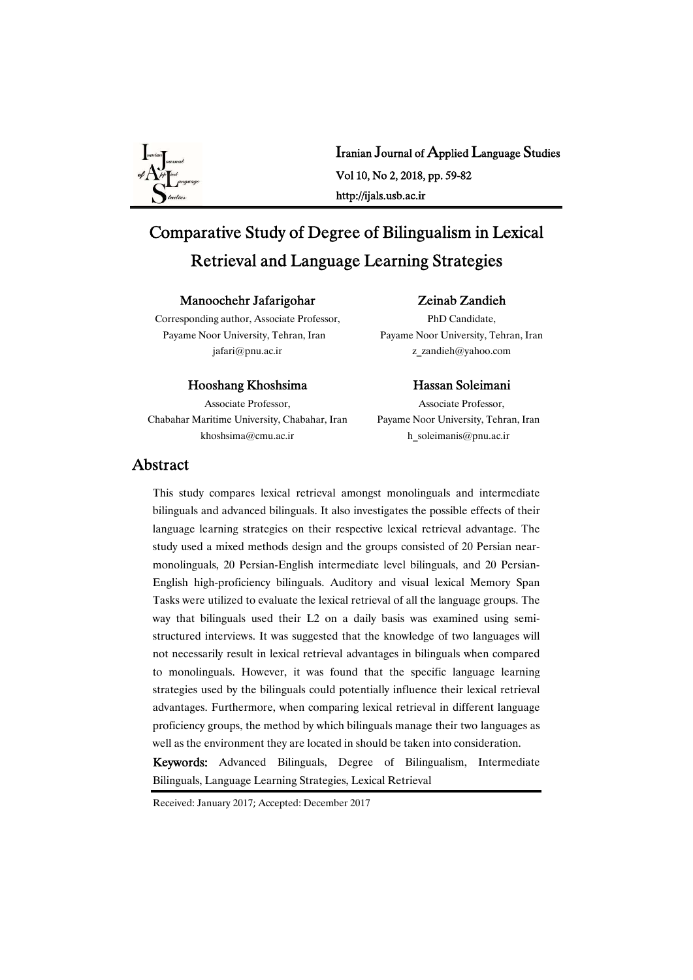

Iranian Journal of Applied Language Studies Vol10,No2,2018,pp.59-82 http://ijals.usb.ac.ir

# Comparative Study of Degree of Bilingualism in Lexical Retrieval and Language Learning Strategies

#### Manoochehr Jafarigohar

## Zeinab Zandieh PhD Candidate,

Corresponding author, Associate Professor, Payame Noor University, Tehran, Iran jafari@pnu.ac.ir

#### Hooshang Khoshsima

Associate Professor, Chabahar Maritime University, Chabahar, Iran khoshsima@cmu.ac.ir

#### Payame Noor University, Tehran, Iran z\_zandieh@yahoo.com

#### Hassan Soleimani

Associate Professor. Payame Noor University, Tehran, Iran h\_soleimanis@pnu.ac.ir

## Abstract

This study compares lexical retrieval amongst monolinguals and intermediate bilinguals and advanced bilinguals. It also investigates the possible effects of their language learning strategies on their respective lexical retrieval advantage. The study used a mixed methods design and the groups consisted of 20 Persian nearmonolinguals, 20 Persian-English intermediate level bilinguals, and 20 Persian-English high-proficiency bilinguals. Auditory and visual lexical Memory Span Tasks were utilized to evaluate the lexical retrieval of all the language groups. The way that bilinguals used their L2 on a daily basis was examined using semistructured interviews. It was suggested that the knowledge of two languages will not necessarily result in lexical retrieval advantages in bilinguals when compared to monolinguals. However, it was found that the specific language learning strategies used by the bilinguals could potentially influence their lexical retrieval advantages. Furthermore, when comparing lexical retrieval in different language proficiency groups, the method by which bilinguals manage their two languages as well as the environment they are located in should be taken into consideration.

Keywords: Advanced Bilinguals, Degree of Bilingualism, Intermediate Bilinguals, Language Learning Strategies, Lexical Retrieval

Received: January 2017; Accepted: December 2017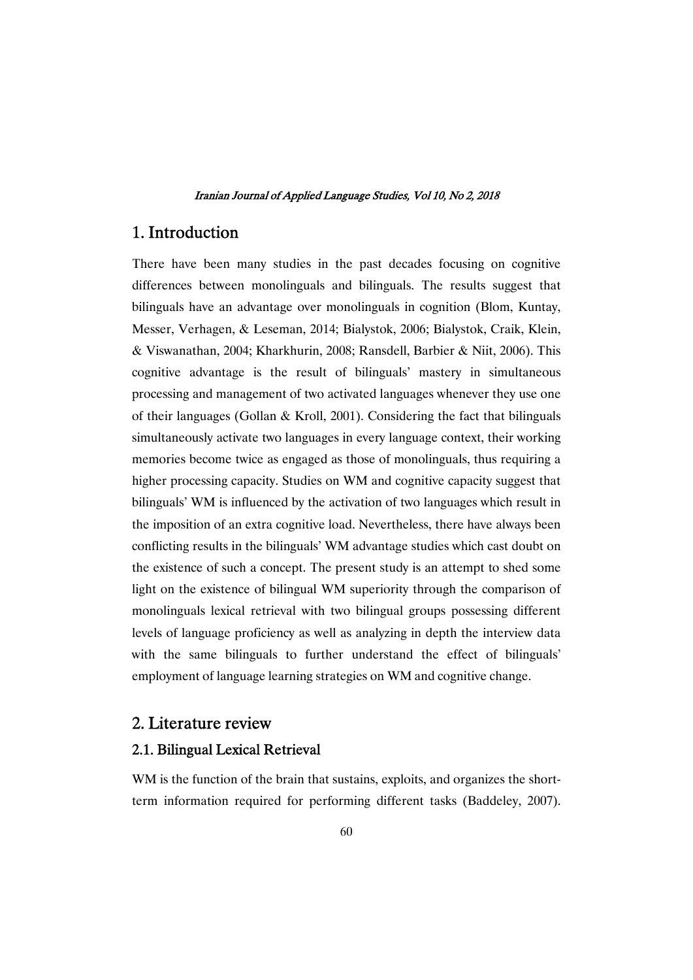## 1.Introduction

There have been many studies in the past decades focusing on cognitive differences between monolinguals and bilinguals. The results suggest that bilinguals have an advantage over monolinguals in cognition (Blom, Kuntay, Messer, Verhagen, & Leseman, 2014; Bialystok, 2006; Bialystok, Craik, Klein, &Viswanathan,2004;Kharkhurin,2008;Ransdell,Barbier&Niit,2006).This cognitive advantage is the result of bilinguals' mastery in simultaneous processing and management of two activated languages whenever they use one of their languages (Gollan & Kroll, 2001). Considering the fact that bilinguals simultaneously activate two languages in every language context, their working memories become twice as engaged as those of monolinguals, thus requiring a higher processing capacity. Studies on WM and cognitive capacity suggest that bilinguals' WM is influenced by the activation of two languages which result in the imposition of an extra cognitive load. Nevertheless, there have always been conflicting results in the bilinguals' WM advantage studies which cast doubt on the existence of such a concept. The present study is an attempt to shed some light on the existence of bilingual WM superiority through the comparison of monolinguals lexical retrieval with two bilingual groups possessing different levels of language proficiency as well as analyzing in depth the interview data with the same bilinguals to further understand the effect of bilinguals' employment of language learning strategies on WM and cognitive change.

## 2. Literature review

## 2.1. Bilingual Lexical Retrieval

WM is the function of the brain that sustains, exploits, and organizes the shortterm information required for performing different tasks (Baddeley, 2007).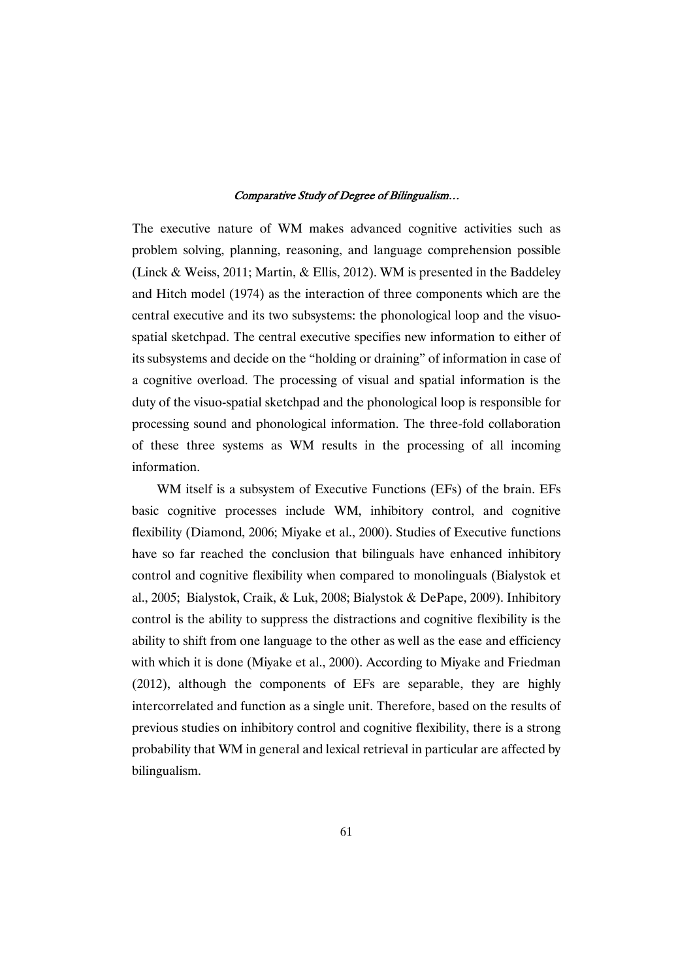The executive nature of WM makes advanced cognitive activities such as problem solving, planning, reasoning, and language comprehension possible (Linck & Weiss, 2011; Martin, & Ellis, 2012). WM is presented in the Baddeley and Hitch model (1974) as the interaction of three components which are the central executive and its two subsystems: the phonological loop and the visuospatial sketchpad. The central executive specifies new information to either of its subsystems and decide on the "holding or draining" of information in case of a cognitive overload. The processing of visual and spatial information is the duty of the visuo-spatial sketchpad and the phonological loop is responsible for processing sound and phonological information. The three-fold collaboration of these three systems as WM results in the processing of all incoming information.

WM itself is a subsystem of Executive Functions (EFs) of the brain. EFs basic cognitive processes include WM, inhibitory control, and cognitive flexibility (Diamond, 2006; Miyake et al., 2000). Studies of Executive functions have so far reached the conclusion that bilinguals have enhanced inhibitory control and cognitive flexibility when compared to monolinguals (Bialystok et al., 2005; Bialystok, Craik, & Luk, 2008; Bialystok & DePape, 2009). Inhibitory control is the ability to suppress the distractions and cognitive flexibility is the ability to shift from one language to the other as well as the ease and efficiency with which it is done (Miyake et al., 2000). According to Miyake and Friedman (2012), although the components of EFs are separable, they are highly intercorrelated and function as a single unit. Therefore, based on the results of previous studies on inhibitory control and cognitive flexibility, there is a strong probability that WM in general and lexical retrieval in particular are affected by bilingualism.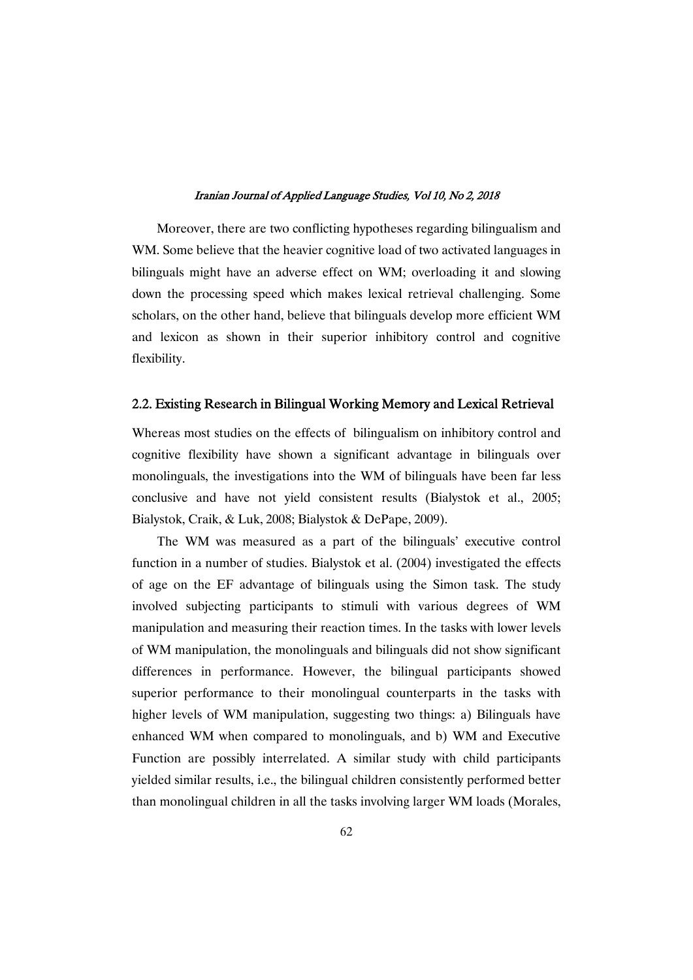Moreover, there are two conflicting hypotheses regarding bilingualism and WM. Some believe that the heavier cognitive load of two activated languages in bilinguals might have an adverse effect on WM; overloading it and slowing down the processing speed which makes lexical retrieval challenging. Some scholars, on the other hand, believe that bilinguals develop more efficient WM and lexicon as shown in their superior inhibitory control and cognitive flexibility.

### 2.2. Existing Research in Bilingual Working Memory and Lexical Retrieval

Whereas most studies on the effects of bilingualism on inhibitory control and cognitive flexibility have shown a significant advantage in bilinguals over monolinguals, the investigations into the WM of bilinguals have been far less conclusive and have not yield consistent results (Bialystok et al., 2005; Bialystok, Craik, & Luk, 2008; Bialystok & DePape, 2009).

The WM was measured as a part of the bilinguals' executive control function in a number of studies. Bialystok et al. (2004) investigated the effects of age on the EF advantage of bilinguals using the Simon task. The study involved subjecting participants to stimuli with various degrees of WM manipulation and measuring their reaction times. In the tasks with lower levels of WM manipulation, the monolinguals and bilinguals did not show significant differences in performance. However, the bilingual participants showed superior performance to their monolingual counterparts in the tasks with higher levels of WM manipulation, suggesting two things: a) Bilinguals have enhanced WM when compared to monolinguals, and b) WM and Executive Function are possibly interrelated. A similar study with child participants yielded similar results, i.e., the bilingual children consistently performed better than monolingual children in all the tasks involving larger WM loads (Morales,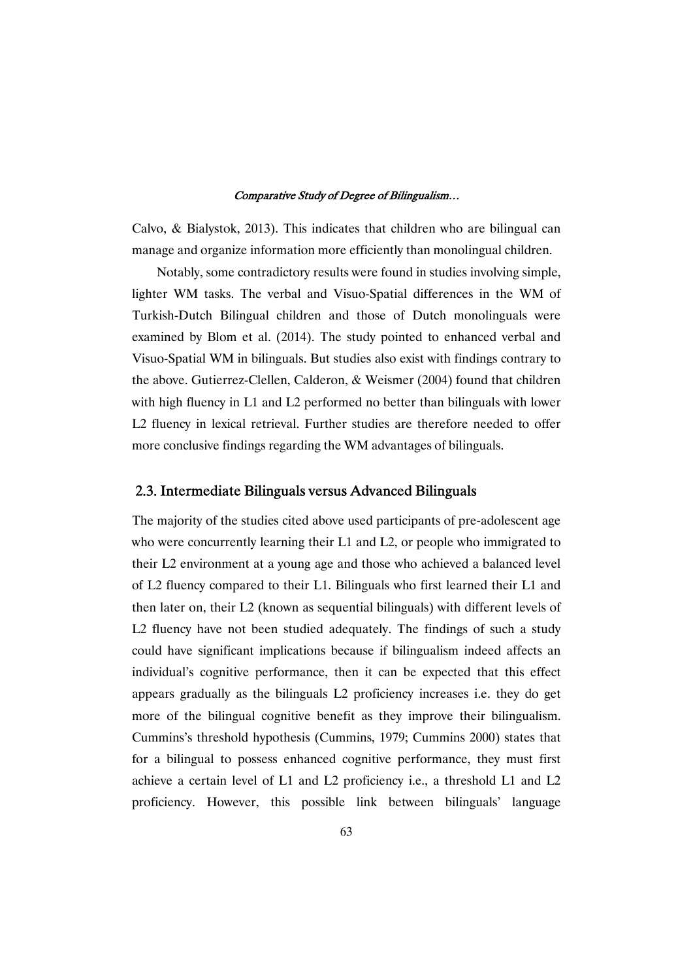Calvo, & Bialystok, 2013). This indicates that children who are bilingual can manage and organize information more efficiently than monolingual children.

Notably, some contradictory results were found in studies involving simple, lighter WM tasks. The verbal and Visuo-Spatial differences in the WM of Turkish-Dutch Bilingual children and those of Dutch monolinguals were examined by Blom et al. (2014). The study pointed to enhanced verbal and Visuo-Spatial WM in bilinguals. But studies also exist with findings contrary to the above. Gutierrez-Clellen, Calderon, & Weismer (2004) found that children with high fluency in  $L1$  and  $L2$  performed no better than bilinguals with lower L2 fluency in lexical retrieval. Further studies are therefore needed to offer more conclusive findings regarding the WM advantages of bilinguals.

## 2.3. Intermediate Bilinguals versus Advanced Bilinguals

The majority of the studies cited above used participants of pre-adolescent age who were concurrently learning their L1 and L2, or people who immigrated to their L2 environment at a young age and those who achieved a balanced level of L2 fluency compared to their L1. Bilinguals who first learned their L1 and then later on, their L2 (known as sequential bilinguals) with different levels of L2 fluency have not been studied adequately. The findings of such a study could have significant implications because if bilingualism indeed affects an individual's cognitive performance, then it can be expected that this effect appears gradually as the bilinguals L2 proficiency increases i.e. they do get more of the bilingual cognitive benefit as they improve their bilingualism. Cummins's threshold hypothesis (Cummins, 1979; Cummins 2000) states that for a bilingual to possess enhanced cognitive performance, they must first achieve a certain level of L1 and L2 proficiency i.e., a threshold L1 and L2 proficiency. However, this possible link between bilinguals' language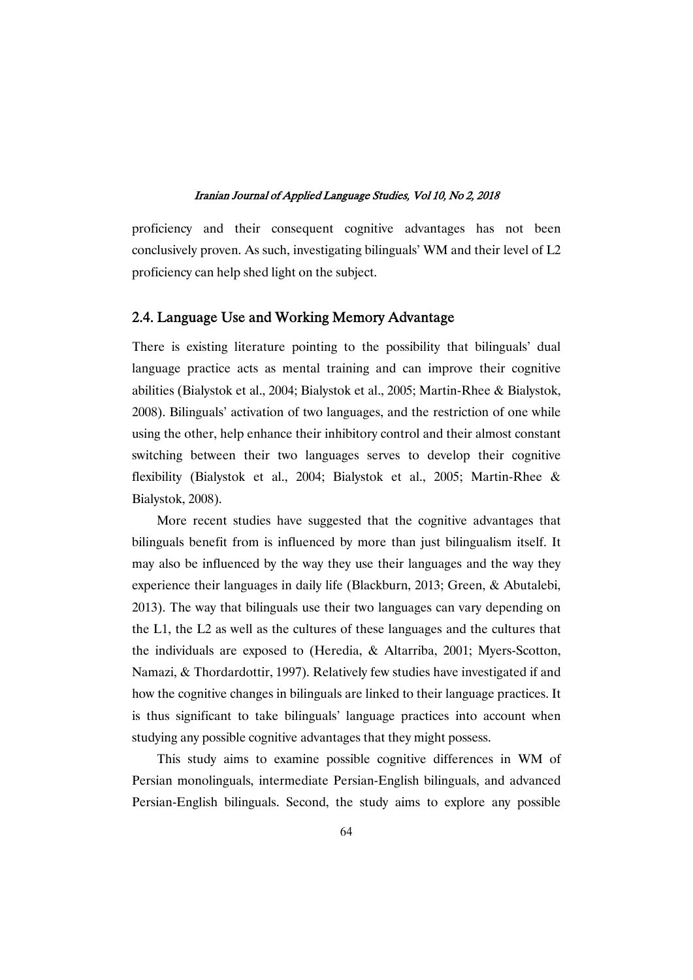proficiency and their consequent cognitive advantages has not been conclusively proven. As such, investigating bilinguals' WM and their level of L2 proficiency can help shed light on the subject.

### 2.4. Language Use and Working Memory Advantage

There is existing literature pointing to the possibility that bilinguals' dual language practice acts as mental training and can improve their cognitive abilities (Bialystok et al., 2004; Bialystok et al., 2005; Martin-Rhee & Bialystok, 2008). Bilinguals' activation of two languages, and the restriction of one while using the other, help enhance their inhibitory control and their almost constant switching between their two languages serves to develop their cognitive flexibility (Bialystok et al., 2004; Bialystok et al., 2005; Martin-Rhee & Bialystok,2008).

More recent studies have suggested that the cognitive advantages that bilinguals benefit from is influenced by more than just bilingualism itself. It may also be influenced by the way they use their languages and the way they experience their languages in daily life (Blackburn, 2013; Green,  $&$  Abutalebi, 2013). The way that bilinguals use their two languages can vary depending on the L1, the L2 as well as the cultures of these languages and the cultures that the individuals are exposed to (Heredia, & Altarriba, 2001; Myers-Scotton, Namazi,  $&$  Thordardottir, 1997). Relatively few studies have investigated if and how the cognitive changes in bilinguals are linked to their language practices. It is thus significant to take bilinguals' language practices into account when studying any possible cognitive advantages that they might possess.

This study aims to examine possible cognitive differences in WM of Persian monolinguals, intermediate Persian-English bilinguals, and advanced Persian-English bilinguals. Second, the study aims to explore any possible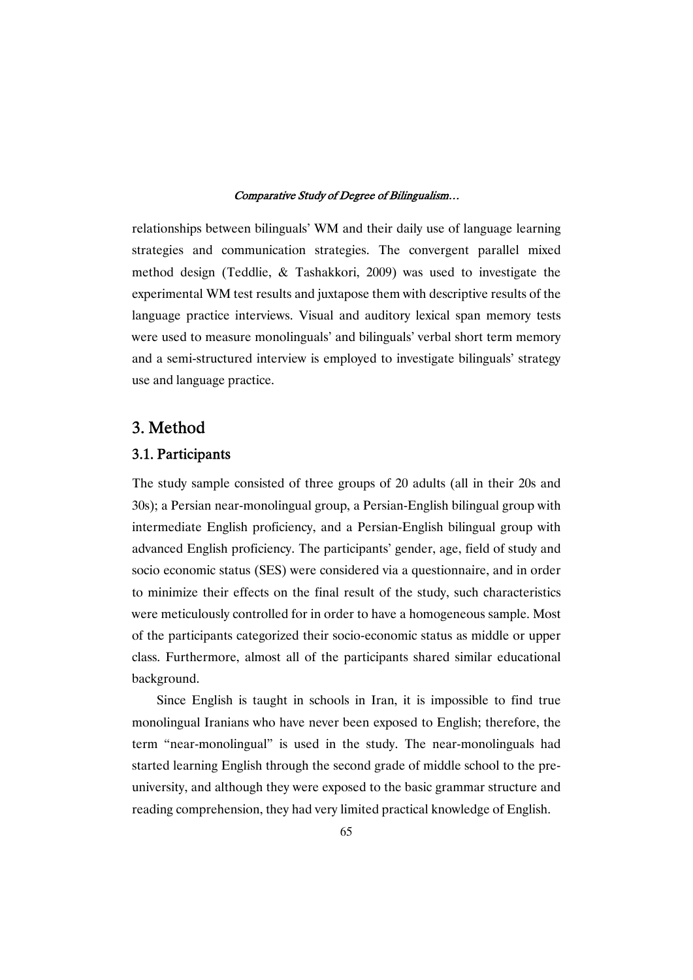relationships between bilinguals' WM and their daily use of language learning strategies and communication strategies. The convergent parallel mixed method design (Teddlie, & Tashakkori, 2009) was used to investigate the experimental WM test results and juxtapose them with descriptive results of the language practice interviews. Visual and auditory lexical span memory tests were used to measure monolinguals' and bilinguals' verbal short term memory and a semi-structured interview is employed to investigate bilinguals' strategy use and language practice.

## 3.Method

## 3.1.Participants

The study sample consisted of three groups of 20 adults (all in their 20s and 30s); a Persian near-monolingual group, a Persian-English bilingual group with intermediate English proficiency, and a Persian-English bilingual group with advanced English proficiency. The participants' gender, age, field of study and socio economic status (SES) were considered via a questionnaire, and in order to minimize their effects on the final result of the study, such characteristics were meticulously controlled for in order to have a homogeneous sample. Most of the participants categorized their socio-economic status as middle or upper class. Furthermore, almost all of the participants shared similar educational background.

Since English is taught in schools in Iran, it is impossible to find true monolingual Iranians who have never been exposed to English; therefore, the term "near-monolingual" is used in the study. The near-monolinguals had started learning English through the second grade of middle school to the preuniversity, and although they were exposed to the basic grammar structure and reading comprehension, they had very limited practical knowledge of English.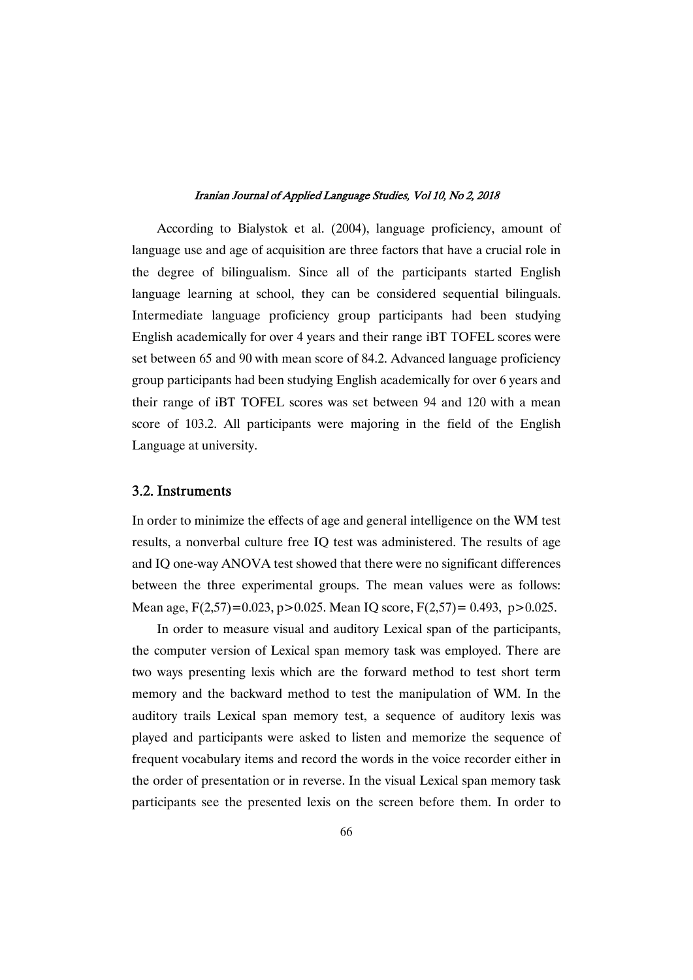According to Bialystok et al. (2004), language proficiency, amount of language use and age of acquisition are three factors that have a crucial role in the degree of bilingualism. Since all of the participants started English language learning at school, they can be considered sequential bilinguals. Intermediate language proficiency group participants had been studying English academically for over 4 years and their range iBT TOFEL scores were set between 65 and 90 with mean score of 84.2. Advanced language proficiency group participants had been studying English academically for over 6 years and their range of iBT TOFEL scores was set between 94 and 120 with a mean score of 103.2. All participants were majoring in the field of the English Language at university.

## 3.2.Instruments

In order to minimize the effects of age and general intelligence on the WM test results, a nonverbal culture free IO test was administered. The results of age and IQ one-way ANOVA test showed that there were no significant differences between the three experimental groups. The mean values were as follows: Mean age,  $F(2,57)=0.023$ ,  $p>0.025$ . Mean IO score,  $F(2,57)=0.493$ ,  $p>0.025$ .

In order to measure visual and auditory Lexical span of the participants, the computer version of Lexical span memory task was employed. There are two ways presenting lexis which are the forward method to test short term memory and the backward method to test the manipulation of WM. In the auditory trails Lexical span memory test, a sequence of auditory lexis was played and participants were asked to listen and memorize the sequence of frequent vocabulary items and record the words in the voice recorder either in the order of presentation or in reverse. In the visual Lexical span memory task participants see the presented lexis on the screen before them. In order to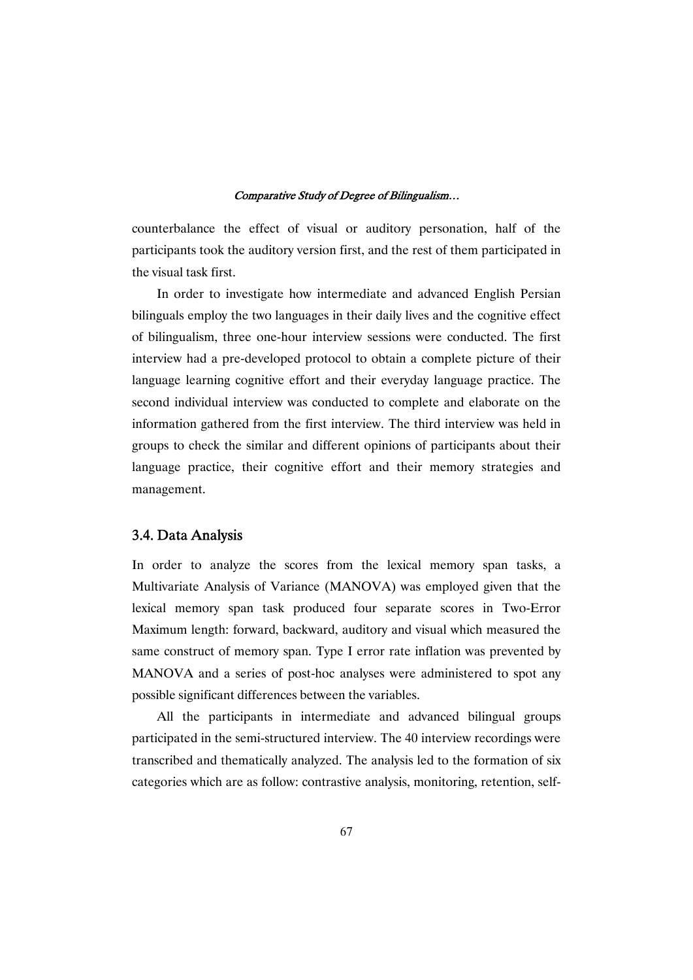counterbalance the effect of visual or auditory personation, half of the participants took the auditory version first, and the rest of them participated in the visual task first.

In order to investigate how intermediate and advanced English Persian bilinguals employ the two languages in their daily lives and the cognitive effect of bilingualism, three one-hour interview sessions were conducted. The first interview had a pre-developed protocol to obtain a complete picture of their language learning cognitive effort and their everyday language practice. The second individual interview was conducted to complete and elaborate on the information gathered from the first interview. The third interview was held in groups to check the similar and different opinions of participants about their language practice, their cognitive effort and their memory strategies and management.

## 3.4.DataAnalysis

In order to analyze the scores from the lexical memory span tasks, a Multivariate Analysis of Variance (MANOVA) was employed given that the lexical memory span task produced four separate scores in Two-Error Maximum length: forward, backward, auditory and visual which measured the same construct of memory span. Type I error rate inflation was prevented by MANOVA and a series of post-hoc analyses were administered to spot any possible significant differences between the variables.

All the participants in intermediate and advanced bilingual groups participated in the semi-structured interview. The 40 interview recordings were transcribed and thematically analyzed. The analysis led to the formation of six categories which are as follow: contrastive analysis, monitoring, retention, self-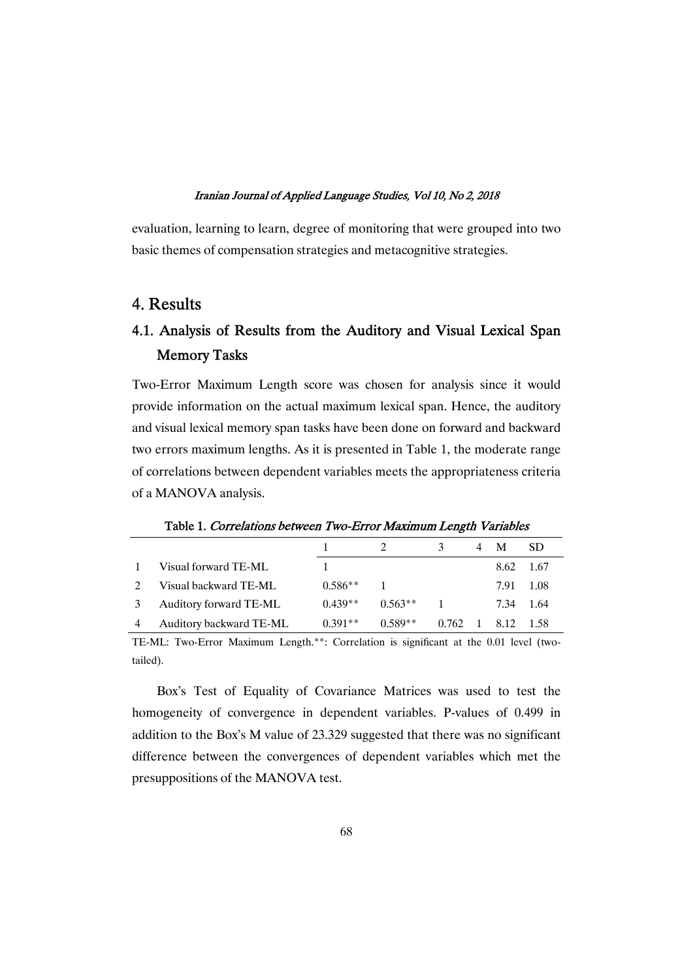evaluation, learning to learn, degree of monitoring that were grouped into two basic themes of compensation strategies and metacognitive strategies.

## 4.Results

## 4.1.Analysis of Results from the Auditory and Visual Lexical Span Memory Tasks

Two-Error Maximum Length score was chosen for analysis since it would provide information on the actual maximum lexical span. Hence, the auditory and visual lexical memory span tasks have been done on forward and backward two errors maximum lengths. As it is presented in Table 1, the moderate range of correlations between dependent variables meets the appropriateness criteria of a MANOVA analysis.

|                          |           |           | 3                                     | М         | -SD |
|--------------------------|-----------|-----------|---------------------------------------|-----------|-----|
| Visual forward TE-ML     |           |           |                                       | 8.62 1.67 |     |
| Visual backward TE-ML    | $0.586**$ |           |                                       | 7.91 1.08 |     |
| 3 Auditory forward TE-ML | $0.439**$ | $0.563**$ |                                       | 7.34 1.64 |     |
| Auditory backward TE-ML  | $0.391**$ | $0.589**$ | $0.762 \quad 1 \quad 8.12 \quad 1.58$ |           |     |

Table 1. Correlations between Two-Error Maximum Length Variables

TE-ML: Two-Error Maximum Length.\*\*: Correlation is significant at the 0.01 level (twotailed).

Box's Test of Equality of Covariance Matrices was used to test the homogeneity of convergence in dependent variables. P-values of 0.499 in addition to the Box's M value of 23.329 suggested that there was no significant difference between the convergences of dependent variables which met the presuppositions of the MANOVA test.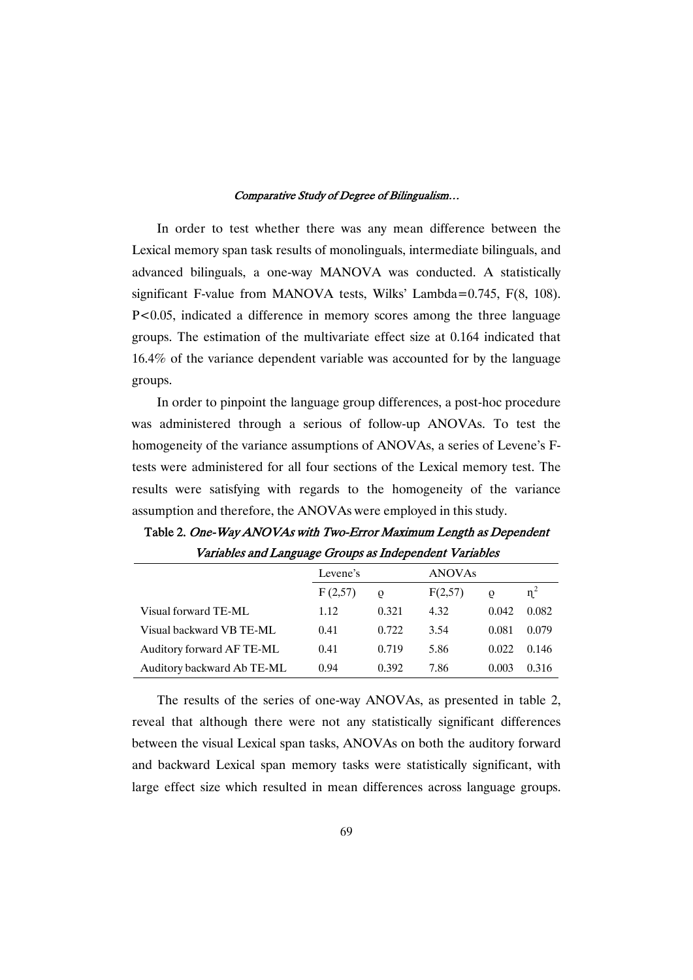In order to test whether there was any mean difference between the Lexical memory span task results of monolinguals, intermediate bilinguals, and advanced bilinguals, a one-way MANOVA was conducted. A statistically significant F-value from MANOVA tests, Wilks' Lambda=0.745, F(8, 108). P<0.05, indicated a difference in memory scores among the three language groups. The estimation of the multivariate effect size at 0.164 indicated that  $16.4\%$  of the variance dependent variable was accounted for by the language groups.

In order to pinpoint the language group differences, a post-hoc procedure was administered through a serious of follow-up ANOVAs. To test the homogeneity of the variance assumptions of ANOVAs, a series of Levene's Ftests were administered for all four sections of the Lexical memory test. The results were satisfying with regards to the homogeneity of the variance assumption and therefore, the ANOVAs were employed in this study.

|                            | Levene's |          | <b>ANOVAs</b> |       |       |
|----------------------------|----------|----------|---------------|-------|-------|
|                            | F(2,57)  | $\Omega$ | F(2,57)       | O     | $n^2$ |
| Visual forward TE-ML       | 1.12     | 0.321    | 4.32          | 0.042 | 0.082 |
| Visual backward VB TE-ML   | 0.41     | 0.722    | 3.54          | 0.081 | 0.079 |
| Auditory forward AF TE-ML  | 0.41     | 0.719    | 5.86          | 0.022 | 0.146 |
| Auditory backward Ab TE-ML | 0.94     | 0.392    | 7.86          | 0.003 | 0.316 |

Table 2. One-Way ANOVAs with Two-Error Maximum Length as Dependent Variables and Language Groups as Independent Variables

The results of the series of one-way ANOVAs, as presented in table 2, reveal that although there were not any statistically significant differences between the visual Lexical span tasks, ANOVAs on both the auditory forward and backward Lexical span memory tasks were statistically significant, with large effect size which resulted in mean differences across language groups.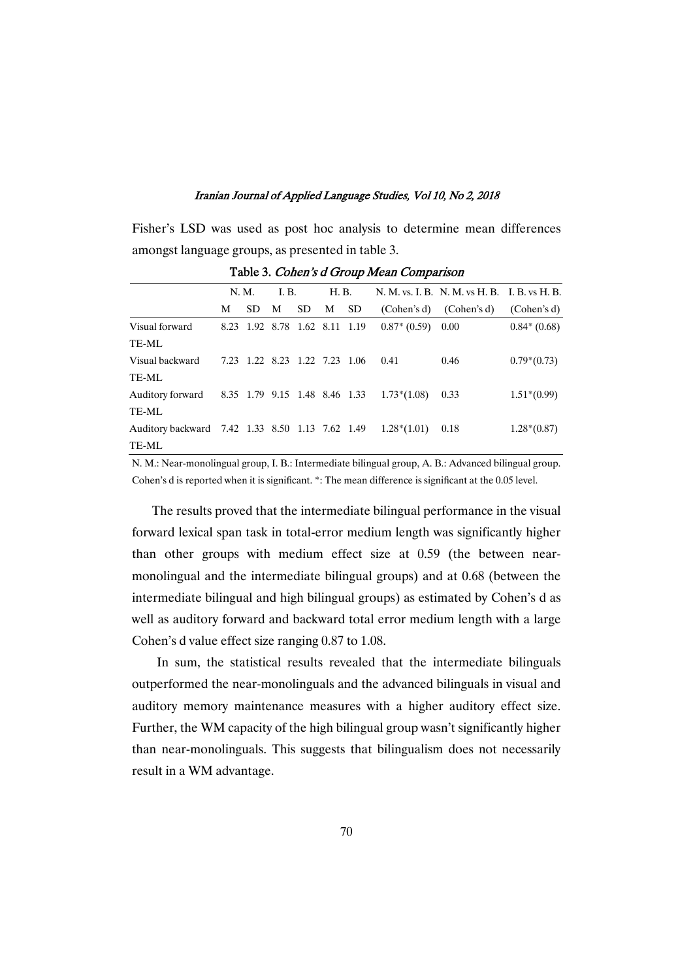Fisher's LSD was used as post hoc analysis to determine mean differences amongst language groups, as presented in table 3.

|                                                 | N. M. |     | I. B. |                               | H. B. |     |               | N. M. vs. I. B. N. M. vs H. B. I. B. vs H. B. |               |
|-------------------------------------------------|-------|-----|-------|-------------------------------|-------|-----|---------------|-----------------------------------------------|---------------|
|                                                 | М     | SD. | M     | SD.                           | M     | SD. | (Cohen's d)   | (Cohen's d)                                   | (Cohen's d)   |
| Visual forward                                  |       |     |       | 8.23 1.92 8.78 1.62 8.11 1.19 |       |     | $0.87*(0.59)$ | 0.00                                          | $0.84*(0.68)$ |
| TE-ML                                           |       |     |       |                               |       |     |               |                                               |               |
| Visual backward                                 |       |     |       | 7.23 1.22 8.23 1.22 7.23 1.06 |       |     | 0.41          | 0.46                                          | $0.79*(0.73)$ |
| TE-ML                                           |       |     |       |                               |       |     |               |                                               |               |
| Auditory forward                                |       |     |       | 8.35 1.79 9.15 1.48 8.46 1.33 |       |     | $1.73*(1.08)$ | 0.33                                          | $1.51*(0.99)$ |
| TE-ML                                           |       |     |       |                               |       |     |               |                                               |               |
| Auditory backward 7.42 1.33 8.50 1.13 7.62 1.49 |       |     |       |                               |       |     | $1.28*(1.01)$ | 0.18                                          | $1.28*(0.87)$ |
| TE-ML                                           |       |     |       |                               |       |     |               |                                               |               |

Table 3. Cohen's d Group Mean Comparison

N. M.: Near-monolingual group, I. B.: Intermediate bilingual group, A. B.: Advanced bilingual group. Cohen's d is reported when it is significant. \*: The mean difference is significant at the 0.05 level.

The results proved that the intermediate bilingual performance in the visual forward lexical span task in total-error medium length was significantly higher than other groups with medium effect size at 0.59 (the between nearmonolingual and the intermediate bilingual groups) and at 0.68 (between the intermediate bilingual and high bilingual groups) as estimated by Cohen's d as well as auditory forward and backward total error medium length with a large Cohen's d value effect size ranging  $0.87$  to  $1.08$ .

In sum, the statistical results revealed that the intermediate bilinguals outperformed the near-monolinguals and the advanced bilinguals in visual and auditory memory maintenance measures with a higher auditory effect size. Further, the WM capacity of the high bilingual group wasn't significantly higher than near-monolinguals. This suggests that bilingualism does not necessarily result in a WM advantage.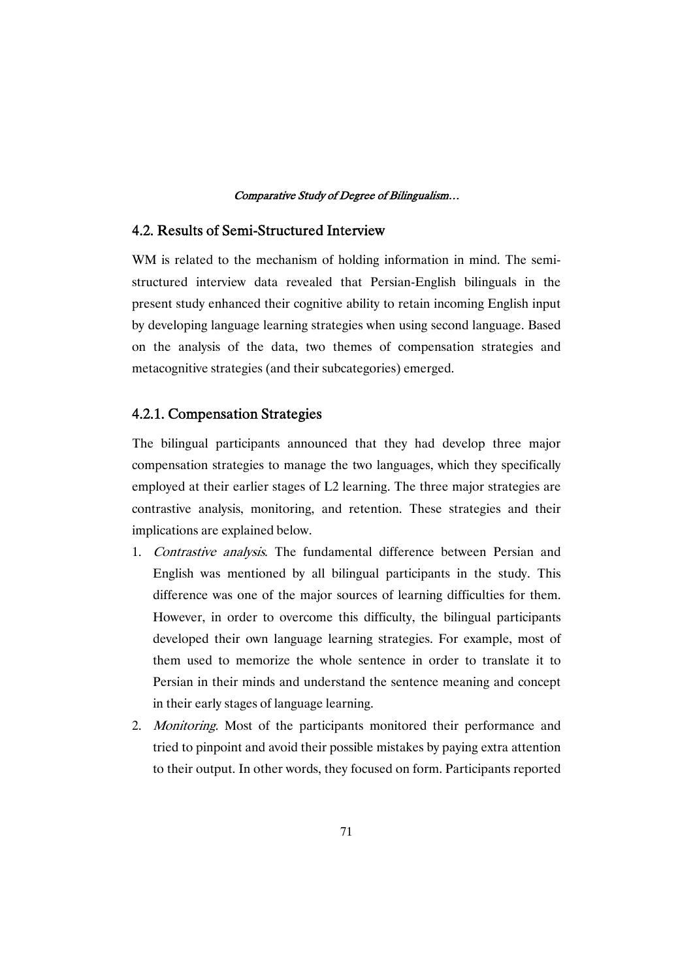## 4.2. Results of Semi-Structured Interview

WM is related to the mechanism of holding information in mind. The semistructured interview data revealed that Persian-English bilinguals in the present study enhanced their cognitive ability to retain incoming English input by developing language learning strategies when using second language. Based on the analysis of the data, two themes of compensation strategies and metacognitive strategies (and their subcategories) emerged.

## 4.2.1. Compensation Strategies

The bilingual participants announced that they had develop three major compensation strategies to manage the two languages, which they specifically employed at their earlier stages of L2 learning. The three major strategies are contrastive analysis, monitoring, and retention. These strategies and their implications are explained below.

- 1. Contrastive analysis. The fundamental difference between Persian and English was mentioned by all bilingual participants in the study. This difference was one of the major sources of learning difficulties for them. However, in order to overcome this difficulty, the bilingual participants developed their own language learning strategies. For example, most of them used to memorize the whole sentence in order to translate it to Persian in their minds and understand the sentence meaning and concept in their early stages of language learning.
- 2. Monitoring. Most of the participants monitored their performance and tried to pinpoint and avoid their possible mistakes by paying extra attention to their output. In other words, they focused on form. Participants reported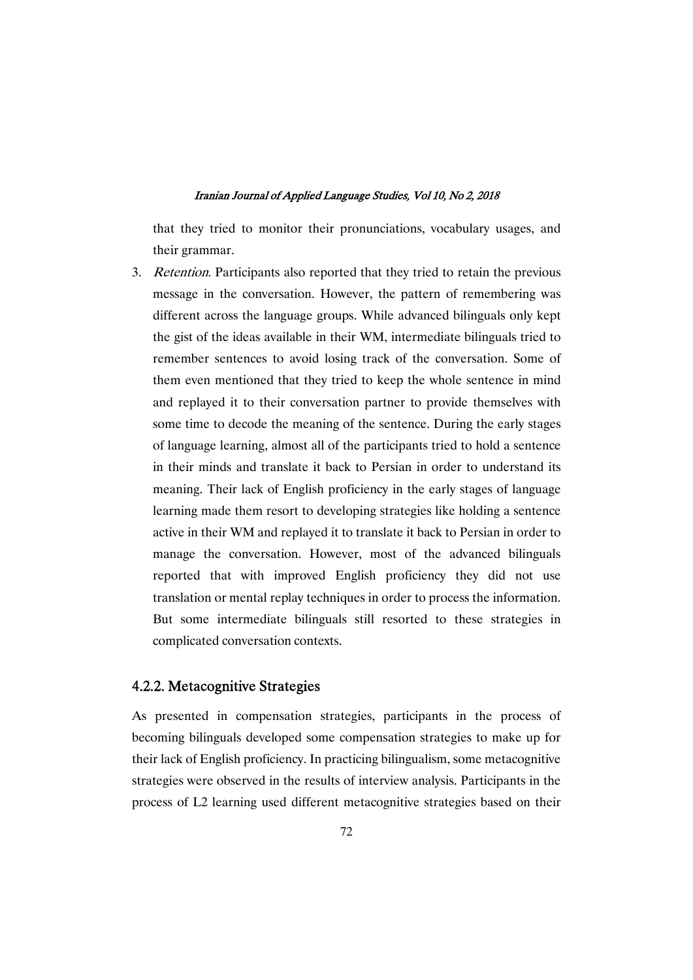that they tried to monitor their pronunciations, vocabulary usages, and their grammar.

3. Retention. Participants also reported that they tried to retain the previous message in the conversation. However, the pattern of remembering was different across the language groups. While advanced bilinguals only kept the gist of the ideas available in their WM, intermediate bilinguals tried to remember sentences to avoid losing track of the conversation. Some of them even mentioned that they tried to keep the whole sentence in mind and replayed it to their conversation partner to provide themselves with some time to decode the meaning of the sentence. During the early stages of language learning, almost all of the participants tried to hold a sentence in their minds and translate it back to Persian in order to understand its meaning. Their lack of English proficiency in the early stages of language learning made them resort to developing strategies like holding a sentence active in their WM and replayed it to translate it back to Persian in order to manage the conversation. However, most of the advanced bilinguals reported that with improved English proficiency they did not use translation or mental replay techniques in order to process the information. But some intermediate bilinguals still resorted to these strategies in complicated conversation contexts.

## 4.2.2. Metacognitive Strategies

As presented in compensation strategies, participants in the process of becoming bilinguals developed some compensation strategies to make up for their lack of English proficiency. In practicing bilingualism, some metacognitive strategies were observed in the results of interview analysis. Participants in the process of L2learning used different metacognitive strategies based on their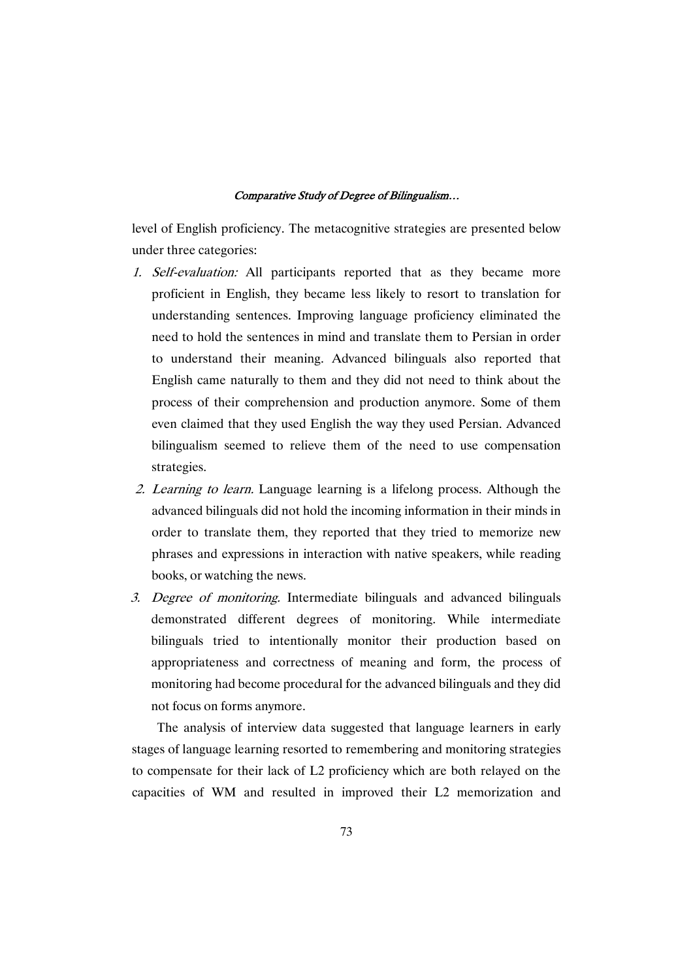level of English proficiency. The metacognitive strategies are presented below under three categories:

- 1. Self-evaluation: All participants reported that as they became more proficient in English, they became less likely to resort to translation for understanding sentences. Improving language proficiency eliminated the need to hold the sentences in mind and translate them to Persian in order to understand their meaning. Advanced bilinguals also reported that English came naturally to them and they did not need to think about the process of their comprehension and production anymore. Some of them even claimed that they used English the way they used Persian. Advanced bilingualism seemed to relieve them of the need to use compensation strategies.
- 2. Learning to learn. Language learning is a lifelong process. Although the advanced bilinguals did not hold the incoming information in their minds in order to translate them, they reported that they tried to memorize new phrases and expressions in interaction with native speakers, while reading books, or watching the news.
- 3. Degree of monitoring. Intermediate bilinguals and advanced bilinguals demonstrated different degrees of monitoring. While intermediate bilinguals tried to intentionally monitor their production based on appropriateness and correctness of meaning and form, the process of monitoring had become procedural for the advanced bilinguals and they did not focus on forms anymore.

The analysis of interview data suggested that language learners in early stages of language learning resorted to remembering and monitoring strategies to compensate for their lack of L2 proficiency which are both relayed on the capacities of WM and resulted in improved their L2 memorization and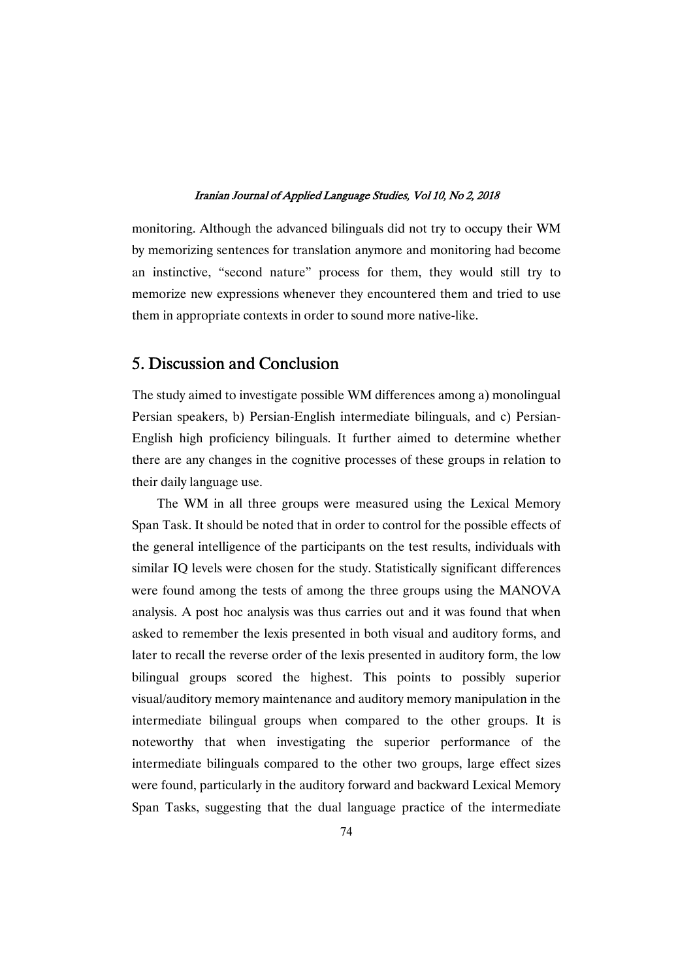monitoring. Although the advanced bilinguals did not try to occupy their WM by memorizing sentences for translation anymore and monitoring had become an instinctive, "second nature" process for them, they would still try to memorize new expressions whenever they encountered them and tried to use them in appropriate contexts in order to sound more native-like.

## 5. Discussion and Conclusion

The study aimed to investigate possible WM differences among a) monolingual Persian speakers, b) Persian-English intermediate bilinguals, and c) Persian-English high proficiency bilinguals. It further aimed to determine whether there are any changes in the cognitive processes of these groups in relation to their daily language use.

The WM in all three groups were measured using the Lexical Memory Span Task. It should be noted that in order to control for the possible effects of the general intelligence of the participants on the test results, individuals with similar IQ levels were chosen for the study. Statistically significant differences were found among the tests of among the three groups using the MANOVA analysis. A post hoc analysis was thus carries out and it was found that when asked to remember the lexis presented in both visual and auditory forms, and later to recall the reverse order of the lexis presented in auditory form, the low bilingual groups scored the highest. This points to possibly superior visual/auditory memory maintenance and auditory memory manipulation in the intermediate bilingual groups when compared to the other groups. It is noteworthy that when investigating the superior performance of the intermediate bilinguals compared to the other two groups, large effect sizes were found, particularly in the auditory forward and backward Lexical Memory Span Tasks, suggesting that the dual language practice of the intermediate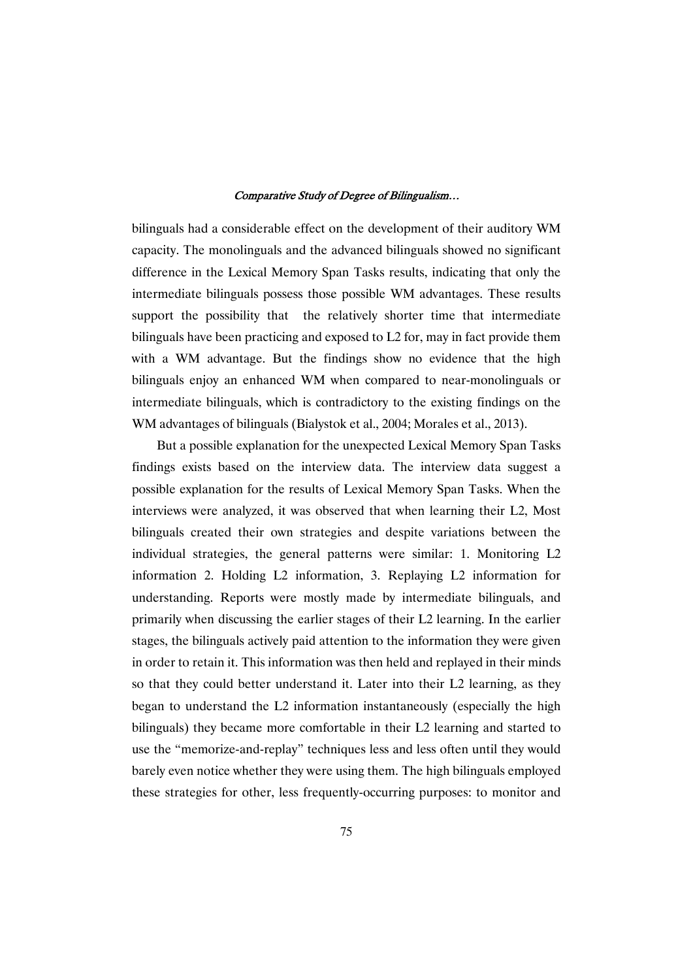bilinguals had a considerable effect on the development of their auditory WM capacity. The monolinguals and the advanced bilinguals showed no significant difference in the Lexical Memory Span Tasks results, indicating that only the intermediate bilinguals possess those possibleWM advantages. These results support the possibility that the relatively shorter time that intermediate bilinguals have been practicing and exposed to L2 for, may in fact provide them with a WM advantage. But the findings show no evidence that the high bilinguals enjoy an enhanced WM when compared to near-monolinguals or intermediate bilinguals, which is contradictory to the existing findings on the WM advantages of bilinguals (Bialystok et al., 2004; Morales et al., 2013).

But a possible explanation for the unexpected Lexical Memory Span Tasks findings exists based on the interview data. The interview data suggest a possible explanation for the results of Lexical Memory Span Tasks. When the interviews were analyzed, it was observed that when learning their L2, Most bilinguals created their own strategies and despite variations between the individual strategies, the general patterns were similar: 1. Monitoring L2 information 2. Holding L2 information, 3. Replaying L2 information for understanding. Reports were mostly made by intermediate bilinguals, and primarily when discussing the earlier stages of their L2 learning. In the earlier stages, the bilinguals actively paid attention to the information they were given in order to retain it. This information was then held and replayed in their minds so that they could better understand it. Later into their L2 learning, as they began to understand the L2 information instantaneously (especially the high bilinguals) they became more comfortable in their L2 learning and started to use the "memorize-and-replay" techniques less and less often until they would barely even notice whether they were using them. The high bilinguals employed these strategies for other, less frequently-occurring purposes: to monitor and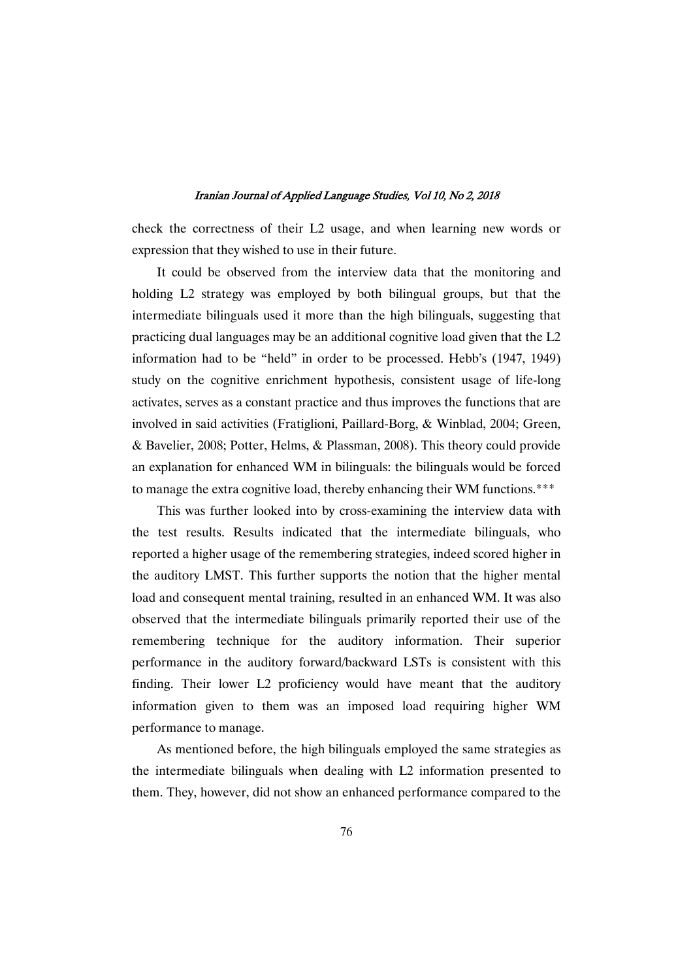check the correctness of their L2 usage, and when learning new words or expression that they wished to use in their future.

It could be observed from the interview data that the monitoring and holding L2 strategy was employed by both bilingual groups, but that the intermediate bilinguals used it more than the high bilinguals, suggesting that practicing dual languages may be an additional cognitive load given that the  $L2$ information had to be "held" in order to be processed. Hebb's (1947, 1949) study on the cognitive enrichment hypothesis, consistent usage of life-long activates, serves as a constant practice and thus improves the functions that are involved in said activities (Fratiglioni, Paillard-Borg, & Winblad, 2004; Green, & Bavelier, 2008; Potter, Helms, & Plassman, 2008). This theory could provide an explanation for enhanced WM in bilinguals: the bilinguals would be forced to manage the extra cognitive load, thereby enhancing their WM functions.\*\*\*

This was further looked into by cross-examining the interview data with the test results. Results indicated that the intermediate bilinguals, who reported a higher usage of the remembering strategies, indeed scored higher in the auditory LMST. This further supports the notion that the higher mental load and consequent mental training, resulted in an enhanced WM. It was also observed that the intermediate bilinguals primarily reported their use of the remembering technique for the auditory information. Their superior performance in the auditory forward/backward LSTs is consistent with this finding. Their lower L2 proficiency would have meant that the auditory information given to them was an imposed load requiring higher WM performance to manage.

As mentioned before, the high bilinguals employed the same strategies as the intermediate bilinguals when dealing with L2 information presented to them. They, however, did not show an enhanced performance compared to the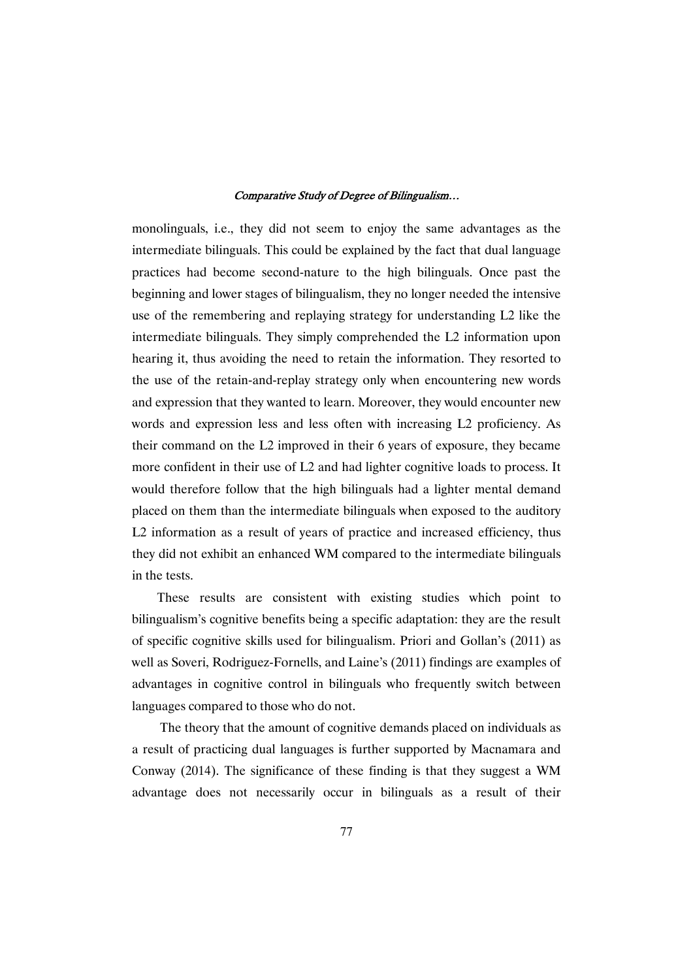monolinguals, i.e., they did not seem to enjoy the same advantages as the intermediate bilinguals. This could be explained by the fact that dual language practices had become second-nature to the high bilinguals. Once past the beginning and lower stages of bilingualism, they no longer needed the intensive use of the remembering and replaying strategy for understanding L2 like the intermediate bilinguals. They simply comprehended the L2 information upon hearing it, thus avoiding the need to retain the information. They resorted to the use of the retain-and-replay strategy only when encountering new words and expression that they wanted to learn. Moreover, they would encounter new words and expression less and less often with increasing L2 proficiency. As their command on the L2 improved in their 6 years of exposure, they became more confident in their use of L2 and had lighter cognitive loads to process. It would therefore follow that the high bilinguals had a lighter mental demand placed on them than the intermediate bilinguals when exposed to the auditory L2 information as a result of years of practice and increased efficiency, thus they did not exhibit an enhanced WM compared to the intermediate bilinguals in the tests.

These results are consistent with existing studies which point to bilingualism's cognitive benefits being a specific adaptation: they are the result of specific cognitive skills used for bilingualism. Priori and Gollan's (2011) as well as Soveri, Rodriguez-Fornells, and Laine's (2011) findings are examples of advantages in cognitive control in bilinguals who frequently switch between languages compared to those who do not.

The theory that the amount of cognitive demands placed on individuals as a result of practicing duallanguagesis further supported byMacnamara and Conway (2014). The significance of these finding is that they suggest a WM advantage does not necessarily occur in bilinguals as a result of their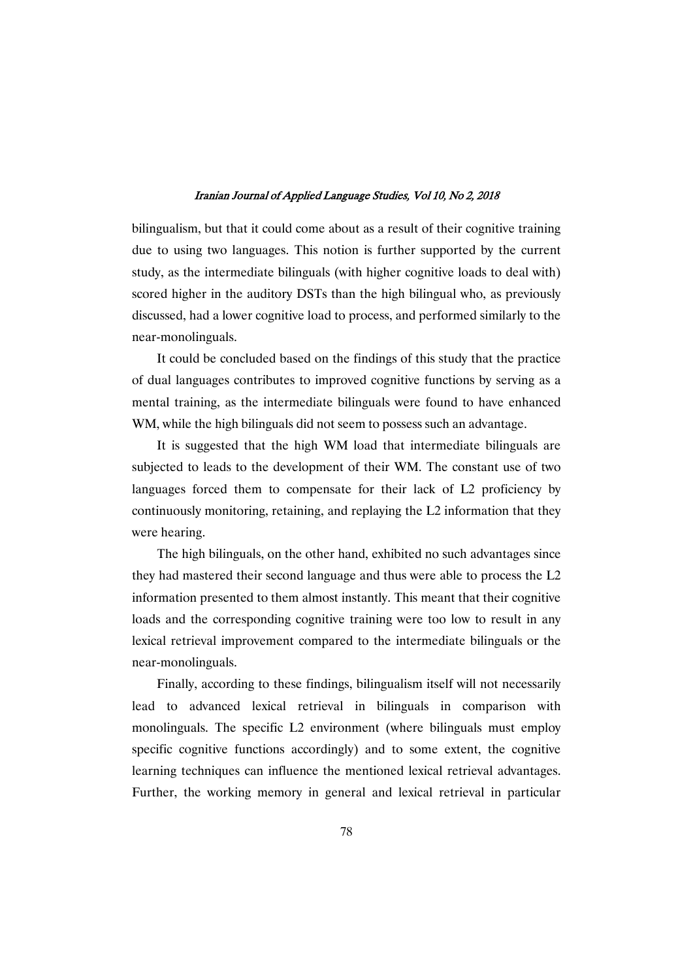bilingualism, but that it could come about as a result of their cognitive training due to using two languages. This notion is further supported by the current study, as the intermediate bilinguals (with higher cognitive loads to deal with) scored higher in the auditory DSTs than the high bilingual who, as previously discussed, had a lower cognitive load to process, and performed similarly to the near-monolinguals.

It could be concluded based on the findings of this study that the practice of dual languages contributes to improved cognitive functions by serving as a mental training, as the intermediate bilinguals were found to have enhanced WM, while the high bilinguals did not seem to possess such an advantage.

It is suggested that the high WM load that intermediate bilinguals are subjected to leads to the development of their WM. The constant use of two languages forced them to compensate for their lack of L2 proficiency by continuously monitoring, retaining, and replaying the L2 information that they were hearing.

The high bilinguals, on the other hand, exhibited no such advantages since they had mastered their second language and thus were able to process the L2 information presented to them almost instantly. This meant that their cognitive loads and the corresponding cognitive training were too low to result in any lexical retrieval improvement compared to the intermediate bilinguals or the near-monolinguals.

Finally, according to these findings, bilingualism itself will not necessarily lead to advanced lexical retrieval in bilinguals in comparison with monolinguals. The specific L2 environment (where bilinguals must employ specific cognitive functions accordingly) and to some extent, the cognitive learning techniques can influence the mentioned lexical retrieval advantages. Further, the working memory in general and lexical retrieval in particular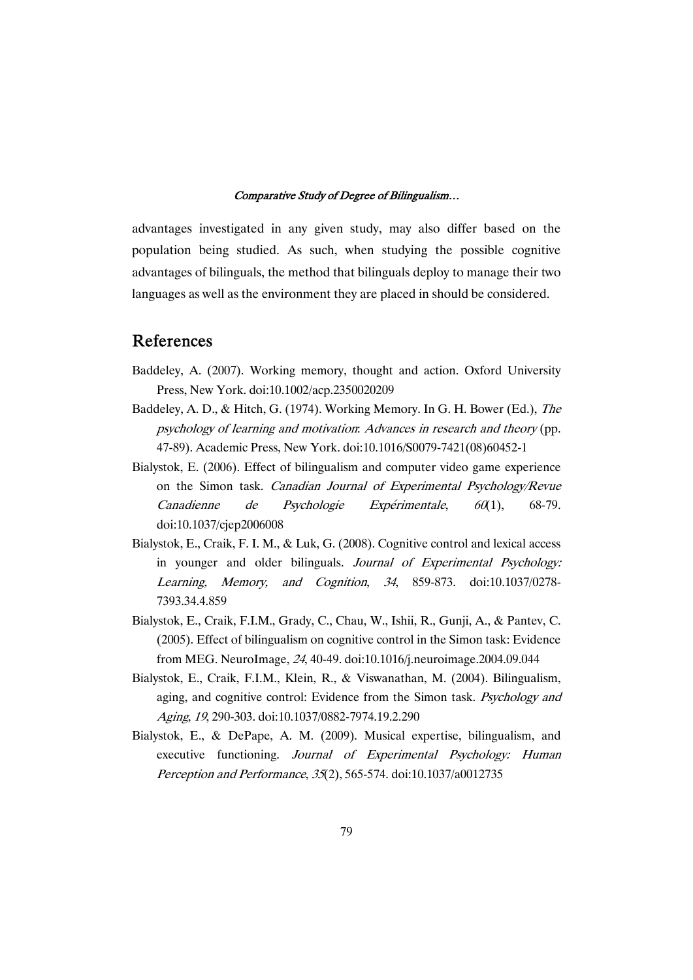advantages investigated in any given study, may also differ based on the population being studied. As such, when studying the possible cognitive advantages of bilinguals, the method that bilinguals deploy to manage their two languages as well as the environment they are placed in should be considered.

## References

- Baddeley, A. (2007). Working memory, thought and action. Oxford University Press, New York. doi:10.1002/acp.2350020209
- Baddeley, A. D., & Hitch, G. (1974). Working Memory. In G. H. Bower (Ed.), The psychology of learning and motivation: Advances in research and theory (pp. 47-89). Academic Press, New York. doi:10.1016/S0079-7421(08)60452-1
- Bialystok, E. (2006). Effect of bilingualism and computer video game experience on the Simon task. Canadian Journal of Experimental Psychology/Revue Canadienne de Psychologie Expérimentale, <sup>60</sup>(1), 68-79. doi:10.1037/cjep2006008
- Bialystok, E., Craik, F. I. M., & Luk, G. (2008). Cognitive control and lexical access in younger and older bilinguals. Journal of Experimental Psychology: Learning, Memory, and Cognition, <sup>34</sup>, 859-873. doi:10.1037/0278- 7393.34.4.859
- Bialystok,E.,Craik,F.I.M.,Grady,C.,Chau,W.,Ishii,R.,Gunji,A.,&Pantev,C.  $(2005)$ . Effect of bilingualism on cognitive control in the Simon task: Evidence fromMEG.NeuroImage,24,40-49.doi:10.1016/j.neuroimage.2004.09.044
- Bialystok, E., Craik, F.I.M., Klein, R., & Viswanathan, M. (2004). Bilingualism, aging, and cognitive control: Evidence from the Simon task. Psychology and Aging,19,290-303.doi:10.1037/0882-7974.19.2.290
- Bialystok, E., & DePape, A. M. (2009). Musical expertise, bilingualism, and executive functioning. Journal of Experimental Psychology: Human Perception and Performance, 35(2), 565-574. doi:10.1037/a0012735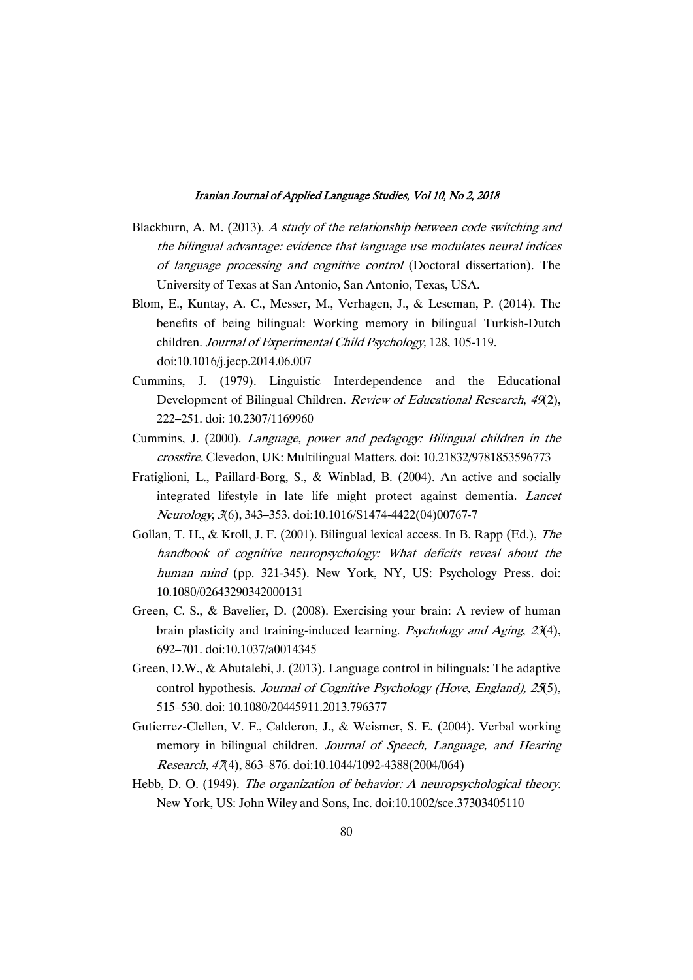- Blackburn, A. M. (2013). A study of the relationship between code switching and the bilingual advantage: evidence that language use modulates neural indices of language processing and cognitive control (Doctoral dissertation). The University of Texas at San Antonio, San Antonio, Texas, USA.
- Blom, E., Kuntay, A. C., Messer, M., Verhagen, J., & Leseman, P. (2014). The benefits of being bilingual: Working memory in bilingual Turkish-Dutch children. Journal of Experimental Child Psychology, 128, 105-119. doi:10.1016/j.jecp.2014.06.007
- Cummins, J. (1979). Linguistic Interdependence and the Educational Development of Bilingual Children. Review of Educational Research, 49(2), 222–251.doi:10.2307/1169960
- Cummins, J. (2000). Language, power and pedagogy: Bilingual children in the crossfire. Clevedon, UK: Multilingual Matters. doi: 10.21832/9781853596773
- Fratiglioni, L., Paillard-Borg, S., & Winblad, B. (2004). An active and socially integrated lifestyle in late life might protect against dementia. Lancet Neurology,3(6),343–353.doi:10.1016/S1474-4422(04)00767-7
- Gollan, T. H., & Kroll, J. F. (2001). Bilingual lexical access. In B. Rapp (Ed.), The handbook of cognitive neuropsychology: What deficits reveal about the human mind (pp. 321-345). New York, NY, US: Psychology Press. doi: 10.1080/02643290342000131
- Green, C. S., & Bavelier, D. (2008). Exercising your brain: A review of human brain plasticity and training-induced learning. Psychology and Aging, <sup>23</sup>(4), 692–701.doi:10.1037/a0014345
- Green, D.W., & Abutalebi, J. (2013). Language control in bilinguals: The adaptive control hypothesis. Journal of Cognitive Psychology (Hove, England), 25(5), 515–530.doi:10.1080/20445911.2013.796377
- Gutierrez-Clellen, V. F., Calderon, J., & Weismer, S. E. (2004). Verbal working memory in bilingual children. Journal of Speech, Language, and Hearing Research,47(4),863–876.doi:10.1044/1092-4388(2004/064)
- Hebb, D. O. (1949). The organization of behavior: A neuropsychological theory. New York, US: John Wiley and Sons, Inc. doi:10.1002/sce.37303405110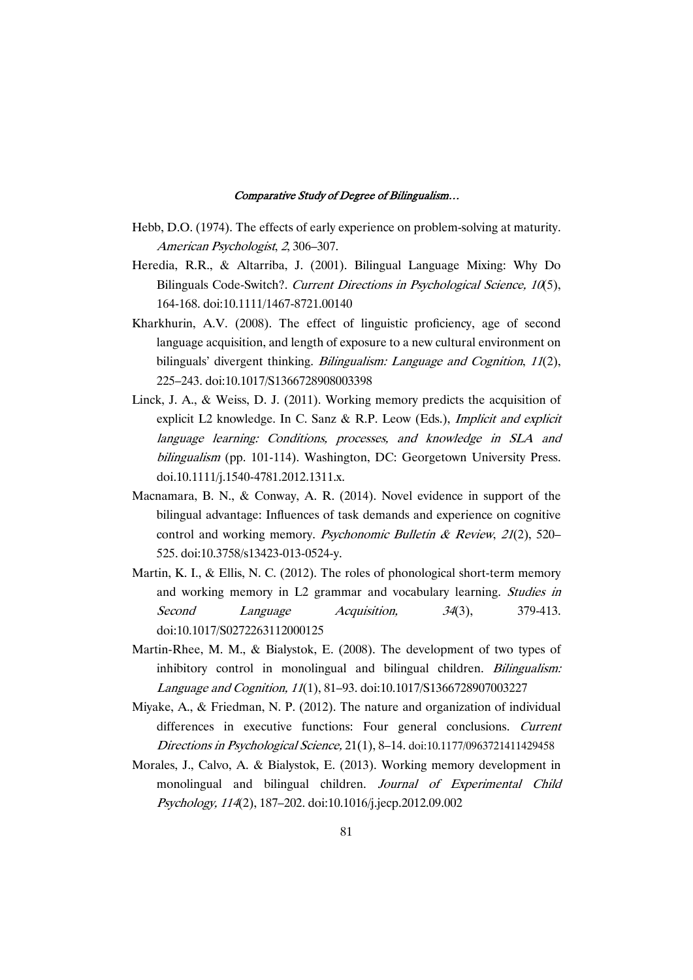- Hebb, D.O. (1974). The effects of early experience on problem-solving at maturity. American Psychologist, 2, 306-307.
- Heredia, R.R., & Altarriba, J. (2001). Bilingual Language Mixing: Why Do Bilinguals Code-Switch?. Current Directions in Psychological Science, 10(5), 164-168.doi:10.1111/1467-8721.00140
- Kharkhurin, A.V. (2008). The effect of linguistic proficiency, age of second language acquisition, and length of exposure to a new cultural environment on bilinguals' divergent thinking. Bilingualism: Language and Cognition, 11(2), 225–243.doi:10.1017/S1366728908003398
- Linck, J. A., & Weiss, D. J. (2011). Working memory predicts the acquisition of explicit L2 knowledge. In C. Sanz & R.P. Leow (Eds.), *Implicit and explicit* language learning: Conditions, processes, and knowledge in SLA and bilingualism (pp. 101-114). Washington, DC: Georgetown University Press. doi.10.1111/j.1540-4781.2012.1311.x.
- Macnamara, B. N., & Conway, A. R. (2014). Novel evidence in support of the bilingual advantage: Influences of task demands and experience on cognitive control and working memory. Psychonomic Bulletin & Review, 21(2), 520– 525.doi:10.3758/s13423-013-0524-y.
- Martin, K. I., & Ellis, N. C. (2012). The roles of phonological short-term memory and working memory in L2 grammar and vocabulary learning. Studies in Second Language Acquisition, 34(3), 379-413. doi:10.1017/S0272263112000125
- Martin-Rhee, M. M., & Bialystok, E. (2008). The development of two types of inhibitory control in monolingual and bilingual children. *Bilingualism:* Language and Cognition, 11(1), 81–93. doi:10.1017/S1366728907003227
- Miyake, A., & Friedman, N. P. (2012). The nature and organization of individual differences in executive functions: Four general conclusions. Current Directions in Psychological Science,  $21(1)$ , 8–14. doi:10.1177/0963721411429458
- Morales, J., Calvo, A. & Bialystok, E. (2013). Working memory development in monolingual and bilingual children. Journal of Experimental Child Psychology, 114(2), 187–202. doi:10.1016/j.jecp.2012.09.002